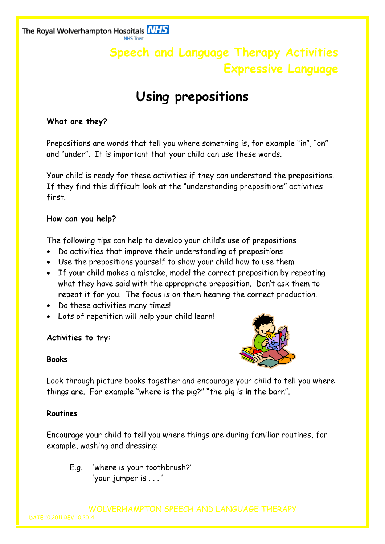The Royal Wolverhampton Hospitals **NHS** 

# **Speech and Language Therapy Activities Expressive Language**

# **Using prepositions**

# **What are they?**

Prepositions are words that tell you where something is, for example "in", "on" and "under". It is important that your child can use these words.

Your child is ready for these activities if they can understand the prepositions. If they find this difficult look at the "understanding prepositions" activities first.

# **How can you help?**

The following tips can help to develop your child's use of prepositions

- Do activities that improve their understanding of prepositions
- Use the prepositions yourself to show your child how to use them
- If your child makes a mistake, model the correct preposition by repeating what they have said with the appropriate preposition. Don't ask them to repeat it for you. The focus is on them hearing the correct production.
- Do these activities many times!
- Lots of repetition will help your child learn!

# **Activities to try:**



#### **Books**

Look through picture books together and encourage your child to tell you where things are. For example "where is the pig?" "the pig is **in** the barn".

# **Routines**

Encourage your child to tell you where things are during familiar routines, for example, washing and dressing:

E.g. 'where is your toothbrush?' 'your jumper is . . . '